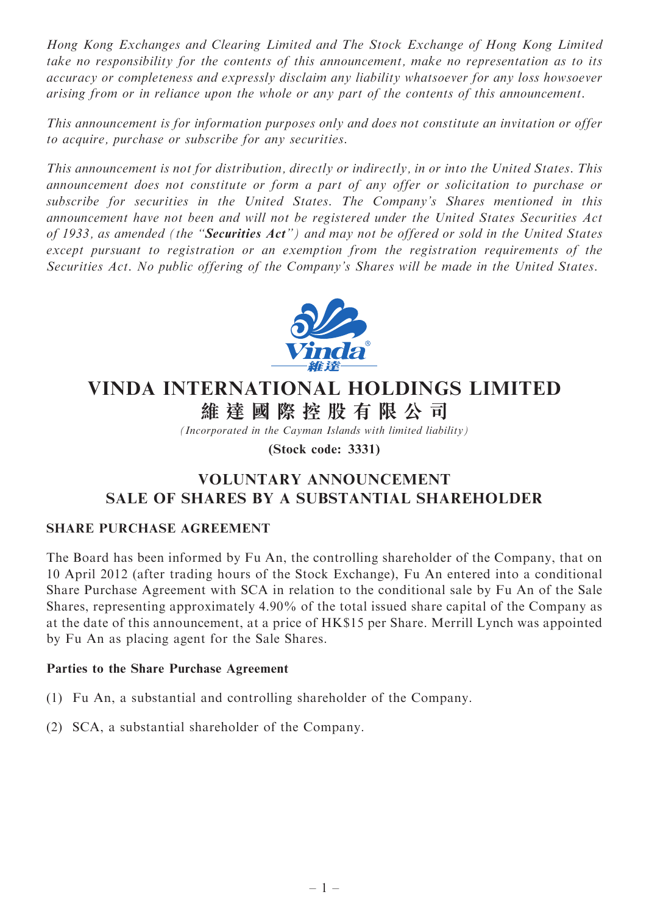Hong Kong Exchanges and Clearing Limited and The Stock Exchange of Hong Kong Limited take no responsibility for the contents of this announcement, make no representation as to its accuracy or completeness and expressly disclaim any liability whatsoever for any loss howsoever arising from or in reliance upon the whole or any part of the contents of this announcement.

This announcement is for information purposes only and does not constitute an invitation or offer to acquire, purchase or subscribe for any securities.

This announcement is not for distribution, directly or indirectly, in or into the United States. This announcement does not constitute or form a part of any offer or solicitation to purchase or subscribe for securities in the United States. The Company's Shares mentioned in this announcement have not been and will not be registered under the United States Securities Act of 1933, as amended (the "**Securities Act**") and may not be offered or sold in the United States except pursuant to registration or an exemption from the registration requirements of the Securities Act. No public offering of the Company's Shares will be made in the United States.



# VINDA INTERNATIONAL HOLDINGS LIMITED

維 達 國 際 控 股 有 限 公 司

(Incorporated in the Cayman Islands with limited liability)

(Stock code: 3331)

# VOLUNTARY ANNOUNCEMENT SALE OF SHARES BY A SUBSTANTIAL SHAREHOLDER

# SHARE PURCHASE AGREEMENT

The Board has been informed by Fu An, the controlling shareholder of the Company, that on 10 April 2012 (after trading hours of the Stock Exchange), Fu An entered into a conditional Share Purchase Agreement with SCA in relation to the conditional sale by Fu An of the Sale Shares, representing approximately 4.90% of the total issued share capital of the Company as at the date of this announcement, at a price of HK\$15 per Share. Merrill Lynch was appointed by Fu An as placing agent for the Sale Shares.

# Parties to the Share Purchase Agreement

- (1) Fu An, a substantial and controlling shareholder of the Company.
- (2) SCA, a substantial shareholder of the Company.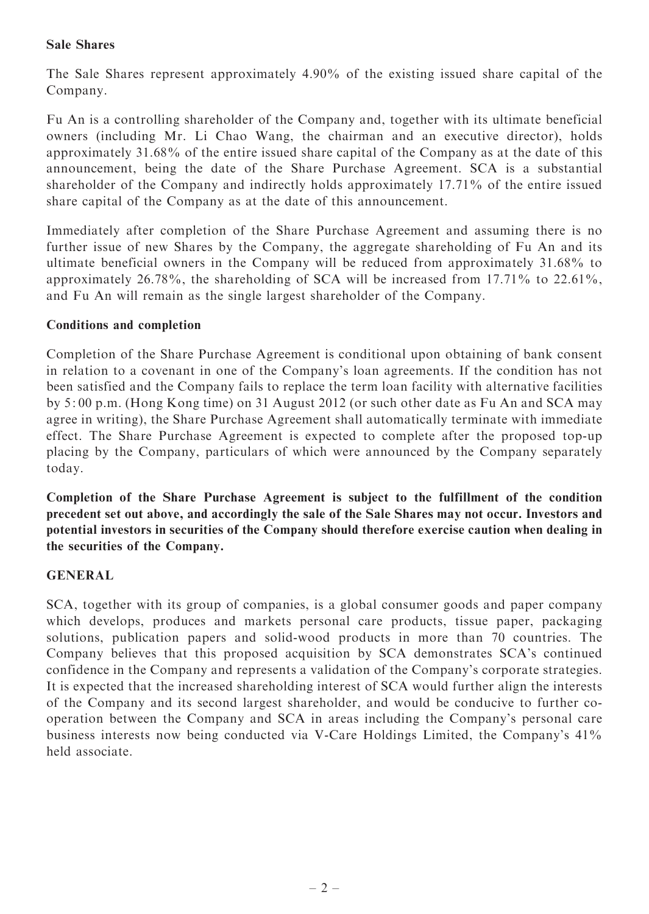#### Sale Shares

The Sale Shares represent approximately 4.90% of the existing issued share capital of the Company.

Fu An is a controlling shareholder of the Company and, together with its ultimate beneficial owners (including Mr. Li Chao Wang, the chairman and an executive director), holds approximately 31.68% of the entire issued share capital of the Company as at the date of this announcement, being the date of the Share Purchase Agreement. SCA is a substantial shareholder of the Company and indirectly holds approximately 17.71% of the entire issued share capital of the Company as at the date of this announcement.

Immediately after completion of the Share Purchase Agreement and assuming there is no further issue of new Shares by the Company, the aggregate shareholding of Fu An and its ultimate beneficial owners in the Company will be reduced from approximately 31.68% to approximately 26.78%, the shareholding of SCA will be increased from 17.71% to 22.61%, and Fu An will remain as the single largest shareholder of the Company.

#### Conditions and completion

Completion of the Share Purchase Agreement is conditional upon obtaining of bank consent in relation to a covenant in one of the Company's loan agreements. If the condition has not been satisfied and the Company fails to replace the term loan facility with alternative facilities by 5: 00 p.m. (Hong Kong time) on 31 August 2012 (or such other date as Fu An and SCA may agree in writing), the Share Purchase Agreement shall automatically terminate with immediate effect. The Share Purchase Agreement is expected to complete after the proposed top-up placing by the Company, particulars of which were announced by the Company separately today.

Completion of the Share Purchase Agreement is subject to the fulfillment of the condition precedent set out above, and accordingly the sale of the Sale Shares may not occur. Investors and potential investors in securities of the Company should therefore exercise caution when dealing in the securities of the Company.

#### GENERAL

SCA, together with its group of companies, is a global consumer goods and paper company which develops, produces and markets personal care products, tissue paper, packaging solutions, publication papers and solid-wood products in more than 70 countries. The Company believes that this proposed acquisition by SCA demonstrates SCA's continued confidence in the Company and represents a validation of the Company's corporate strategies. It is expected that the increased shareholding interest of SCA would further align the interests of the Company and its second largest shareholder, and would be conducive to further cooperation between the Company and SCA in areas including the Company's personal care business interests now being conducted via V-Care Holdings Limited, the Company's 41% held associate.